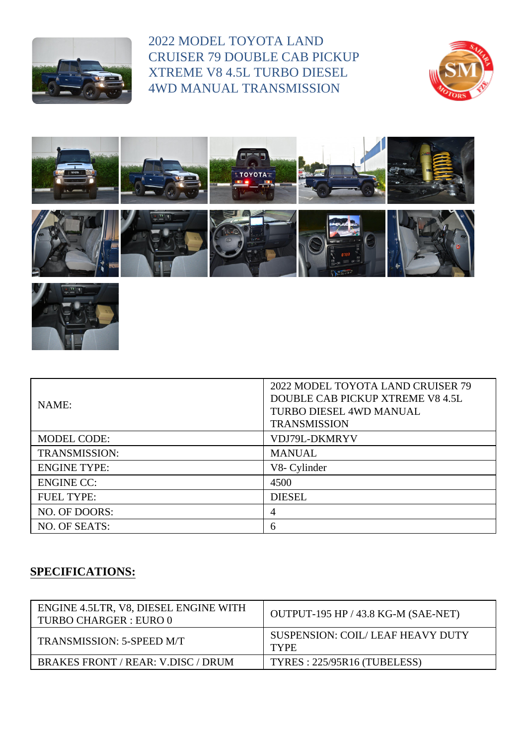

2022 MODEL TOYOTA LAND CRUISER 79 DOUBLE CAB PICKUP XTREME V8 4.5L TURBO DIESEL 4WD MANUAL TRANSMISSION







| NAME:                | 2022 MODEL TOYOTA LAND CRUISER 79<br>DOUBLE CAB PICKUP XTREME V8 4.5L<br>TURBO DIESEL 4WD MANUAL<br><b>TRANSMISSION</b> |
|----------------------|-------------------------------------------------------------------------------------------------------------------------|
| <b>MODEL CODE:</b>   | VDJ79L-DKMRYV                                                                                                           |
| <b>TRANSMISSION:</b> | <b>MANUAL</b>                                                                                                           |
| <b>ENGINE TYPE:</b>  | V8- Cylinder                                                                                                            |
| <b>ENGINE CC:</b>    | 4500                                                                                                                    |
| <b>FUEL TYPE:</b>    | <b>DIESEL</b>                                                                                                           |
| NO. OF DOORS:        | 4                                                                                                                       |
| NO. OF SEATS:        | 6                                                                                                                       |

## **SPECIFICATIONS:**

| ENGINE 4.5LTR, V8, DIESEL ENGINE WITH<br>TURBO CHARGER : EURO 0 | OUTPUT-195 HP / 43.8 KG-M (SAE-NET)             |
|-----------------------------------------------------------------|-------------------------------------------------|
| TRANSMISSION: 5-SPEED M/T                                       | SUSPENSION: COIL/LEAF HEAVY DUTY<br><b>TYPE</b> |
| BRAKES FRONT / REAR: V.DISC / DRUM                              | TYRES: 225/95R16 (TUBELESS)                     |